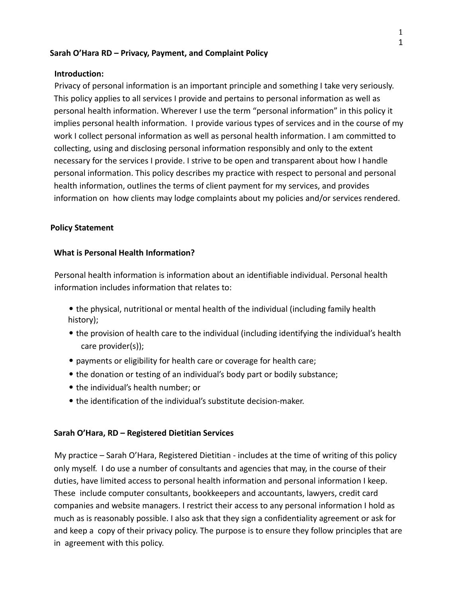#### **Sarah O'Hara RD – Privacy, Payment, and Complaint Policy**

#### **Introduction:**

Privacy of personal information is an important principle and something I take very seriously. This policy applies to all services I provide and pertains to personal information as well as personal health information. Wherever I use the term "personal information" in this policy it implies personal health information. I provide various types of services and in the course of my work I collect personal information as well as personal health information. I am committed to collecting, using and disclosing personal information responsibly and only to the extent necessary for the services I provide. I strive to be open and transparent about how I handle personal information. This policy describes my practice with respect to personal and personal health information, outlines the terms of client payment for my services, and provides information on how clients may lodge complaints about my policies and/or services rendered.

#### **Policy Statement**

#### **What is Personal Health Information?**

Personal health information is information about an identifiable individual. Personal health information includes information that relates to:

- the physical, nutritional or mental health of the individual (including family health history);
- the provision of health care to the individual (including identifying the individual's health care provider(s));
- payments or eligibility for health care or coverage for health care;
- the donation or testing of an individual's body part or bodily substance;
- the individual's health number; or
- the identification of the individual's substitute decision-maker.

### **Sarah O'Hara, RD – Registered Dietitian Services**

My practice – Sarah O'Hara, Registered Dietitian - includes at the time of writing of this policy only myself. I do use a number of consultants and agencies that may, in the course of their duties, have limited access to personal health information and personal information I keep. These include computer consultants, bookkeepers and accountants, lawyers, credit card companies and website managers. I restrict their access to any personal information I hold as much as is reasonably possible. I also ask that they sign a confidentiality agreement or ask for and keep a copy of their privacy policy. The purpose is to ensure they follow principles that are in agreement with this policy.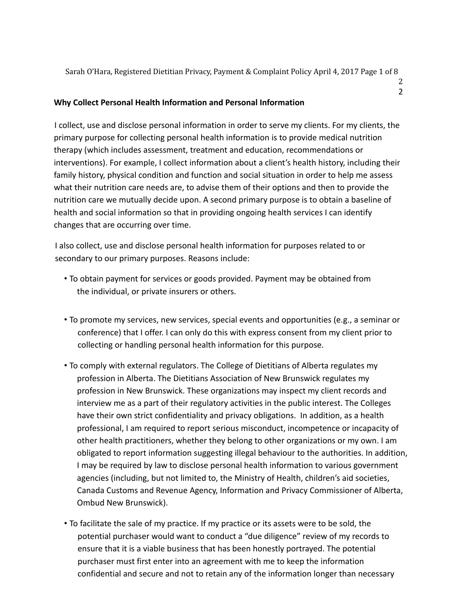Sarah O'Hara, Registered Dietitian Privacy, Payment & Complaint Policy April 4, 2017 Page 1 of 8

2 2

# **Why Collect Personal Health Information and Personal Information**

I collect, use and disclose personal information in order to serve my clients. For my clients, the primary purpose for collecting personal health information is to provide medical nutrition therapy (which includes assessment, treatment and education, recommendations or interventions). For example, I collect information about a client's health history, including their family history, physical condition and function and social situation in order to help me assess what their nutrition care needs are, to advise them of their options and then to provide the nutrition care we mutually decide upon. A second primary purpose is to obtain a baseline of health and social information so that in providing ongoing health services I can identify changes that are occurring over time.

I also collect, use and disclose personal health information for purposes related to or secondary to our primary purposes. Reasons include:

- To obtain payment for services or goods provided. Payment may be obtained from the individual, or private insurers or others.
- To promote my services, new services, special events and opportunities (e.g., a seminar or conference) that I offer. I can only do this with express consent from my client prior to collecting or handling personal health information for this purpose.
- To comply with external regulators. The College of Dietitians of Alberta regulates my profession in Alberta. The Dietitians Association of New Brunswick regulates my profession in New Brunswick. These organizations may inspect my client records and interview me as a part of their regulatory activities in the public interest. The Colleges have their own strict confidentiality and privacy obligations. In addition, as a health professional, I am required to report serious misconduct, incompetence or incapacity of other health practitioners, whether they belong to other organizations or my own. I am obligated to report information suggesting illegal behaviour to the authorities. In addition, I may be required by law to disclose personal health information to various government agencies (including, but not limited to, the Ministry of Health, children's aid societies, Canada Customs and Revenue Agency, Information and Privacy Commissioner of Alberta, Ombud New Brunswick).
- To facilitate the sale of my practice. If my practice or its assets were to be sold, the potential purchaser would want to conduct a "due diligence" review of my records to ensure that it is a viable business that has been honestly portrayed. The potential purchaser must first enter into an agreement with me to keep the information confidential and secure and not to retain any of the information longer than necessary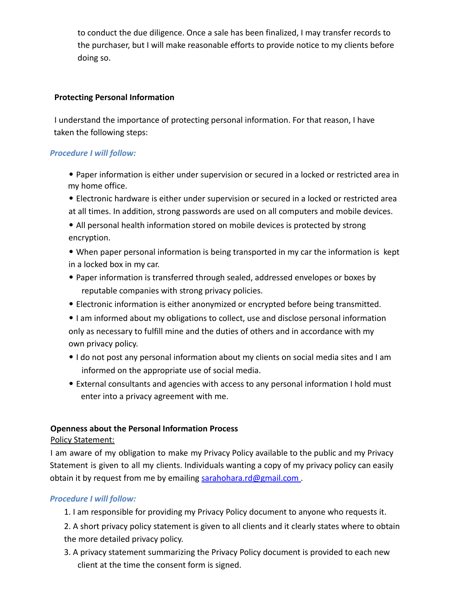to conduct the due diligence. Once a sale has been finalized, I may transfer records to the purchaser, but I will make reasonable efforts to provide notice to my clients before doing so.

## **Protecting Personal Information**

I understand the importance of protecting personal information. For that reason, I have taken the following steps:

## *Procedure I will follow:*

• Paper information is either under supervision or secured in a locked or restricted area in my home office.

- Electronic hardware is either under supervision or secured in a locked or restricted area at all times. In addition, strong passwords are used on all computers and mobile devices.
- All personal health information stored on mobile devices is protected by strong encryption.
- When paper personal information is being transported in my car the information is kept in a locked box in my car.
- Paper information is transferred through sealed, addressed envelopes or boxes by reputable companies with strong privacy policies.
- Electronic information is either anonymized or encrypted before being transmitted.
- I am informed about my obligations to collect, use and disclose personal information only as necessary to fulfill mine and the duties of others and in accordance with my own privacy policy.
- I do not post any personal information about my clients on social media sites and I am informed on the appropriate use of social media.
- External consultants and agencies with access to any personal information I hold must enter into a privacy agreement with me.

# **Openness about the Personal Information Process**

# Policy Statement:

I am aware of my obligation to make my Privacy Policy available to the public and my Privacy Statement is given to all my clients. Individuals wanting a copy of my privacy policy can easily obtain it by request from me by emailing sarahohara.rd@gmail.com .

# *Procedure I will follow:*

- 1. I am responsible for providing my Privacy Policy document to anyone who requests it.
- 2. A short privacy policy statement is given to all clients and it clearly states where to obtain the more detailed privacy policy.
- 3. A privacy statement summarizing the Privacy Policy document is provided to each new client at the time the consent form is signed.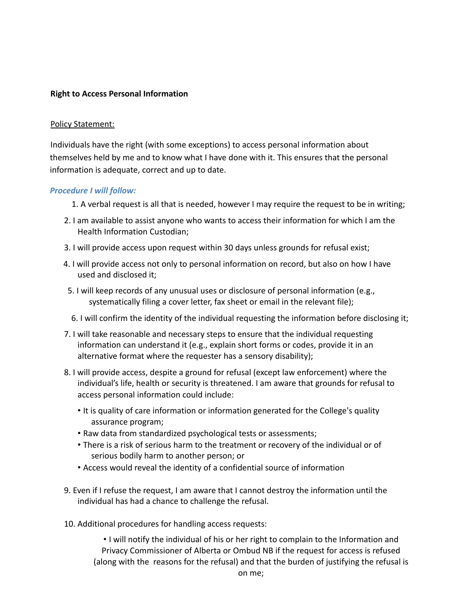## **Right to Access Personal Information**

### Policy Statement:

Individuals have the right (with some exceptions) to access personal information about themselves held by me and to know what I have done with it. This ensures that the personal information is adequate, correct and up to date.

### *Procedure I will follow:*

- 1. A verbal request is all that is needed, however I may require the request to be in writing;
- 2. I am available to assist anyone who wants to access their information for which I am the Health Information Custodian;
- 3. I will provide access upon request within 30 days unless grounds for refusal exist;
- 4. I will provide access not only to personal information on record, but also on how I have used and disclosed it;
- 5. I will keep records of any unusual uses or disclosure of personal information (e.g., systematically filing a cover letter, fax sheet or email in the relevant file);
- 6. I will confirm the identity of the individual requesting the information before disclosing it;
- 7. I will take reasonable and necessary steps to ensure that the individual requesting information can understand it (e.g., explain short forms or codes, provide it in an alternative format where the requester has a sensory disability);
- 8. I will provide access, despite a ground for refusal (except law enforcement) where the individual's life, health or security is threatened. I am aware that grounds for refusal to access personal information could include:
	- It is quality of care information or information generated for the College's quality assurance program;
	- Raw data from standardized psychological tests or assessments;
	- There is a risk of serious harm to the treatment or recovery of the individual or of serious bodily harm to another person; or
	- Access would reveal the identity of a confidential source of information
- 9. Even if I refuse the request, I am aware that I cannot destroy the information until the individual has had a chance to challenge the refusal.
- 10. Additional procedures for handling access requests:

• I will notify the individual of his or her right to complain to the Information and Privacy Commissioner of Alberta or Ombud NB if the request for access is refused (along with the reasons for the refusal) and that the burden of justifying the refusal is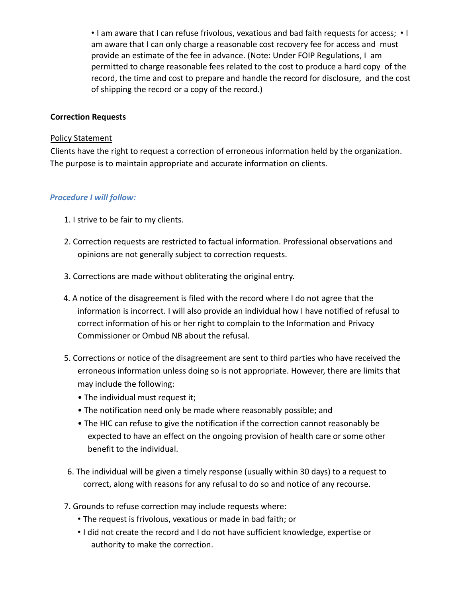• I am aware that I can refuse frivolous, vexatious and bad faith requests for access; • I am aware that I can only charge a reasonable cost recovery fee for access and must provide an estimate of the fee in advance. (Note: Under FOIP Regulations, I am permitted to charge reasonable fees related to the cost to produce a hard copy of the record, the time and cost to prepare and handle the record for disclosure, and the cost of shipping the record or a copy of the record.)

### **Correction Requests**

#### Policy Statement

Clients have the right to request a correction of erroneous information held by the organization. The purpose is to maintain appropriate and accurate information on clients.

### *Procedure I will follow:*

- 1. I strive to be fair to my clients.
- 2. Correction requests are restricted to factual information. Professional observations and opinions are not generally subject to correction requests.
- 3. Corrections are made without obliterating the original entry.
- 4. A notice of the disagreement is filed with the record where I do not agree that the information is incorrect. I will also provide an individual how I have notified of refusal to correct information of his or her right to complain to the Information and Privacy Commissioner or Ombud NB about the refusal.
- 5. Corrections or notice of the disagreement are sent to third parties who have received the erroneous information unless doing so is not appropriate. However, there are limits that may include the following:
	- The individual must request it;
	- The notification need only be made where reasonably possible; and
	- The HIC can refuse to give the notification if the correction cannot reasonably be expected to have an effect on the ongoing provision of health care or some other benefit to the individual.
- 6. The individual will be given a timely response (usually within 30 days) to a request to correct, along with reasons for any refusal to do so and notice of any recourse.
- 7. Grounds to refuse correction may include requests where:
	- The request is frivolous, vexatious or made in bad faith; or
	- I did not create the record and I do not have sufficient knowledge, expertise or authority to make the correction.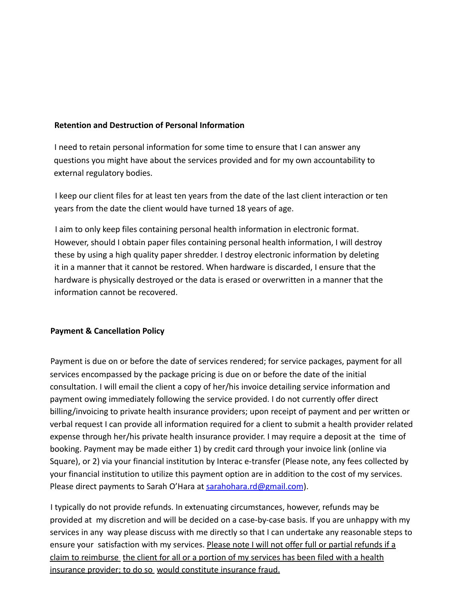### **Retention and Destruction of Personal Information**

I need to retain personal information for some time to ensure that I can answer any questions you might have about the services provided and for my own accountability to external regulatory bodies.

I keep our client files for at least ten years from the date of the last client interaction or ten years from the date the client would have turned 18 years of age.

I aim to only keep files containing personal health information in electronic format. However, should I obtain paper files containing personal health information, I will destroy these by using a high quality paper shredder. I destroy electronic information by deleting it in a manner that it cannot be restored. When hardware is discarded, I ensure that the hardware is physically destroyed or the data is erased or overwritten in a manner that the information cannot be recovered.

### **Payment & Cancellation Policy**

Payment is due on or before the date of services rendered; for service packages, payment for all services encompassed by the package pricing is due on or before the date of the initial consultation. I will email the client a copy of her/his invoice detailing service information and payment owing immediately following the service provided. I do not currently offer direct billing/invoicing to private health insurance providers; upon receipt of payment and per written or verbal request I can provide all information required for a client to submit a health provider related expense through her/his private health insurance provider. I may require a deposit at the time of booking. Payment may be made either 1) by credit card through your invoice link (online via Square), or 2) via your financial institution by Interac e-transfer (Please note, any fees collected by your financial institution to utilize this payment option are in addition to the cost of my services. Please direct payments to Sarah O'Hara at sarahohara.rd@gmail.com).

I typically do not provide refunds. In extenuating circumstances, however, refunds may be provided at my discretion and will be decided on a case-by-case basis. If you are unhappy with my services in any way please discuss with me directly so that I can undertake any reasonable steps to ensure your satisfaction with my services. Please note I will not offer full or partial refunds if a claim to reimburse the client for all or a portion of my services has been filed with a health insurance provider; to do so would constitute insurance fraud.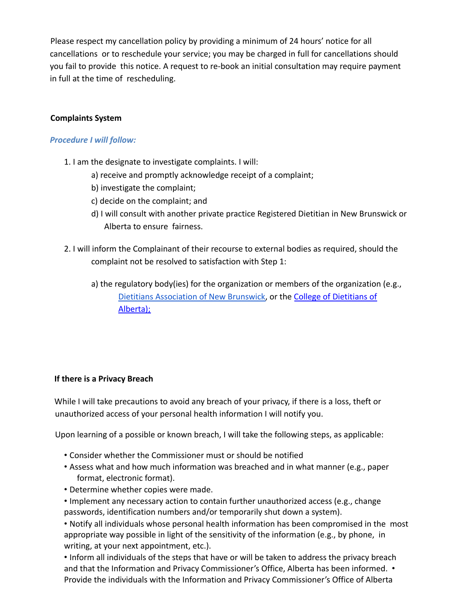Please respect my cancellation policy by providing a minimum of 24 hours' notice for all cancellations or to reschedule your service; you may be charged in full for cancellations should you fail to provide this notice. A request to re-book an initial consultation may require payment in full at the time of rescheduling.

# **Complaints System**

### *Procedure I will follow:*

- 1. I am the designate to investigate complaints. I will:
	- a) receive and promptly acknowledge receipt of a complaint;
	- b) investigate the complaint;
	- c) decide on the complaint; and
	- d) I will consult with another private practice Registered Dietitian in New Brunswick or Alberta to ensure fairness.
- 2. I will inform the Complainant of their recourse to external bodies as required, should the complaint not be resolved to satisfaction with Step 1:
	- a) the regulatory body(ies) for the organization or members of the organization (e.g., [Dietitians Association of New Brunswick,](http://www.adnb-nbad.com/making-a-complaint/) or the College of Dietitians of Alberta);

### **If there is a Privacy Breach**

While I will take precautions to avoid any breach of your privacy, if there is a loss, theft or unauthorized access of your personal health information I will notify you.

Upon learning of a possible or known breach, I will take the following steps, as applicable:

- Consider whether the Commissioner must or should be notified
- Assess what and how much information was breached and in what manner (e.g., paper format, electronic format).
- Determine whether copies were made.
- Implement any necessary action to contain further unauthorized access (e.g., change passwords, identification numbers and/or temporarily shut down a system).

• Notify all individuals whose personal health information has been compromised in the most appropriate way possible in light of the sensitivity of the information (e.g., by phone, in writing, at your next appointment, etc.).

• Inform all individuals of the steps that have or will be taken to address the privacy breach and that the Information and Privacy Commissioner's Office, Alberta has been informed. • Provide the individuals with the Information and Privacy Commissioner's Office of Alberta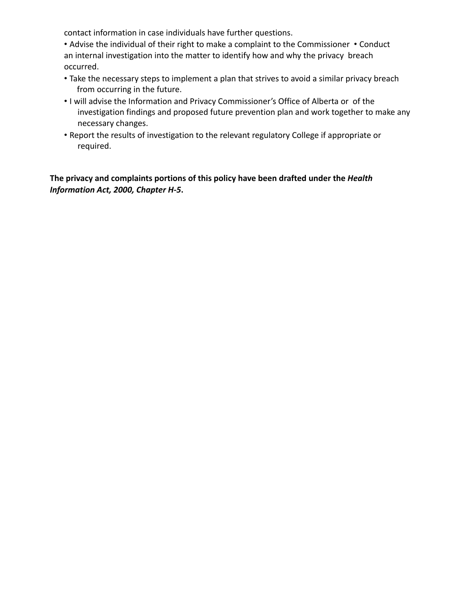contact information in case individuals have further questions.

• Advise the individual of their right to make a complaint to the Commissioner • Conduct an internal investigation into the matter to identify how and why the privacy breach occurred.

- Take the necessary steps to implement a plan that strives to avoid a similar privacy breach from occurring in the future.
- I will advise the Information and Privacy Commissioner's Office of Alberta or of the investigation findings and proposed future prevention plan and work together to make any necessary changes.
- Report the results of investigation to the relevant regulatory College if appropriate or required.

**The privacy and complaints portions of this policy have been drafted under the** *Health Information Act, 2000, Chapter H-5***.**